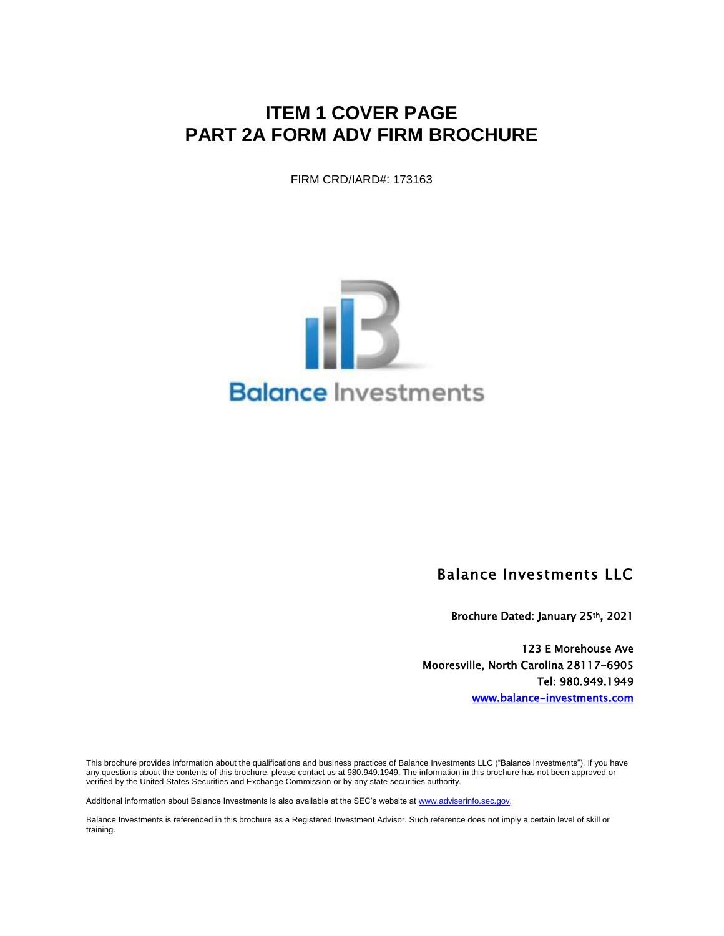# **ITEM 1 COVER PAGE PART 2A FORM ADV FIRM BROCHURE**

FIRM CRD/IARD#: 173163



### Balance Investments LLC

Brochure Dated: January 25th, 2021

123 E Morehouse Ave Mooresville, North Carolina 28117-6905 Tel: 980.949.1949 [www.balance-investments.com](http://www.balance-investments.com/)

This brochure provides information about the qualifications and business practices of Balance Investments LLC ("Balance Investments"). If you have any questions about the contents of this brochure, please contact us at 980.949.1949. The information in this brochure has not been approved or verified by the United States Securities and Exchange Commission or by any state securities authority.

Additional information about Balance Investments is also available at the SEC's website a[t www.adviserinfo.sec.gov.](http://www.adviserinfo.sec.gov/)

Balance Investments is referenced in this brochure as a Registered Investment Advisor. Such reference does not imply a certain level of skill or training.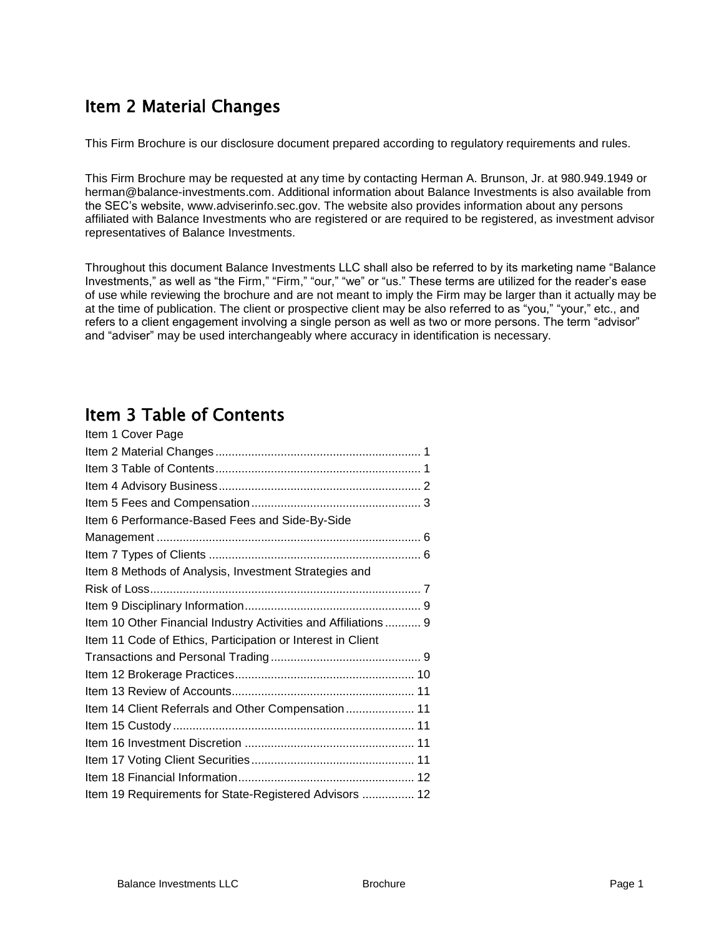# Item 2 Material Changes

This Firm Brochure is our disclosure document prepared according to regulatory requirements and rules.

This Firm Brochure may be requested at any time by contacting Herman A. Brunson, Jr. at 980.949.1949 or herman@balance-investments.com. Additional information about Balance Investments is also available from the SEC's website, www.adviserinfo.sec.gov. The website also provides information about any persons affiliated with Balance Investments who are registered or are required to be registered, as investment advisor representatives of Balance Investments.

Throughout this document Balance Investments LLC shall also be referred to by its marketing name "Balance Investments," as well as "the Firm," "Firm," "our," "we" or "us." These terms are utilized for the reader's ease of use while reviewing the brochure and are not meant to imply the Firm may be larger than it actually may be at the time of publication. The client or prospective client may be also referred to as "you," "your," etc., and refers to a client engagement involving a single person as well as two or more persons. The term "advisor" and "adviser" may be used interchangeably where accuracy in identification is necessary.

# Item 3 Table of Contents

| Item 1 Cover Page                                               |  |
|-----------------------------------------------------------------|--|
|                                                                 |  |
|                                                                 |  |
|                                                                 |  |
|                                                                 |  |
| Item 6 Performance-Based Fees and Side-By-Side                  |  |
|                                                                 |  |
|                                                                 |  |
| Item 8 Methods of Analysis, Investment Strategies and           |  |
|                                                                 |  |
|                                                                 |  |
| Item 10 Other Financial Industry Activities and Affiliations  9 |  |
| Item 11 Code of Ethics, Participation or Interest in Client     |  |
|                                                                 |  |
|                                                                 |  |
|                                                                 |  |
| Item 14 Client Referrals and Other Compensation 11              |  |
|                                                                 |  |
|                                                                 |  |
|                                                                 |  |
|                                                                 |  |
| Item 19 Requirements for State-Registered Advisors  12          |  |
|                                                                 |  |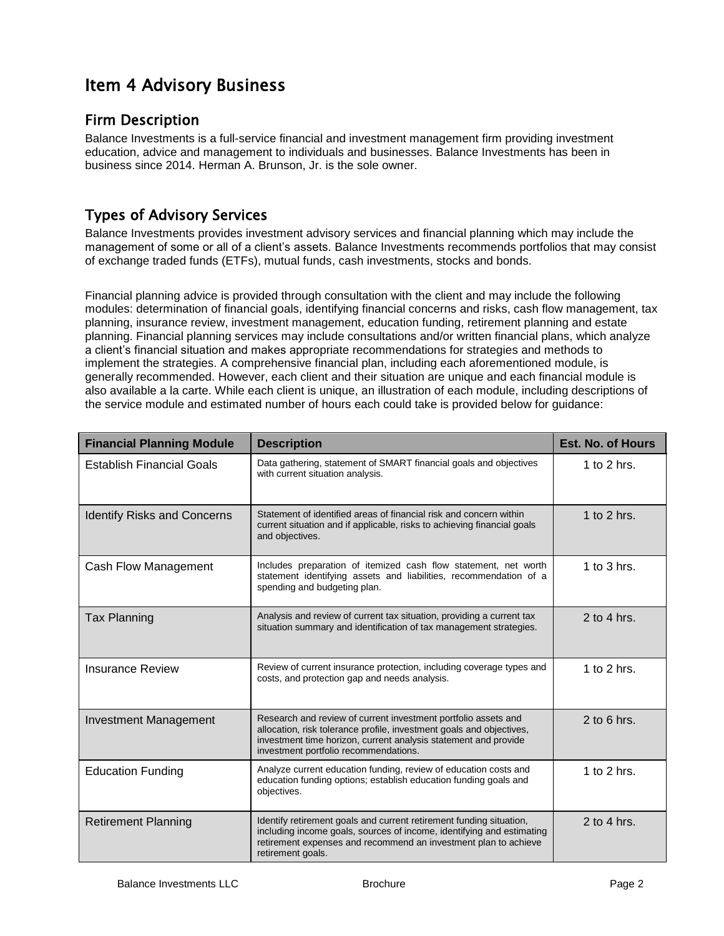# Item 4 Advisory Business

### Firm Description

Balance Investments is a full-service financial and investment management firm providing investment education, advice and management to individuals and businesses. Balance Investments has been in business since 2014. Herman A. Brunson, Jr. is the sole owner.

### Types of Advisory Services

Balance Investments provides investment advisory services and financial planning which may include the management of some or all of a client's assets. Balance Investments recommends portfolios that may consist of exchange traded funds (ETFs), mutual funds, cash investments, stocks and bonds.

Financial planning advice is provided through consultation with the client and may include the following modules: determination of financial goals, identifying financial concerns and risks, cash flow management, tax planning, insurance review, investment management, education funding, retirement planning and estate planning. Financial planning services may include consultations and/or written financial plans, which analyze a client's financial situation and makes appropriate recommendations for strategies and methods to implement the strategies. A comprehensive financial plan, including each aforementioned module, is generally recommended. However, each client and their situation are unique and each financial module is also available a la carte. While each client is unique, an illustration of each module, including descriptions of the service module and estimated number of hours each could take is provided below for guidance:

| <b>Financial Planning Module</b>   | <b>Description</b>                                                                                                                                                                                                                                 | <b>Est. No. of Hours</b> |
|------------------------------------|----------------------------------------------------------------------------------------------------------------------------------------------------------------------------------------------------------------------------------------------------|--------------------------|
| <b>Establish Financial Goals</b>   | Data gathering, statement of SMART financial goals and objectives<br>with current situation analysis.                                                                                                                                              | 1 to 2 hrs.              |
| <b>Identify Risks and Concerns</b> | Statement of identified areas of financial risk and concern within<br>current situation and if applicable, risks to achieving financial goals<br>and objectives.                                                                                   | 1 to 2 hrs.              |
| Cash Flow Management               | Includes preparation of itemized cash flow statement, net worth<br>statement identifying assets and liabilities, recommendation of a<br>spending and budgeting plan.                                                                               | 1 to $3$ hrs.            |
| <b>Tax Planning</b>                | Analysis and review of current tax situation, providing a current tax<br>situation summary and identification of tax management strategies.                                                                                                        | $2$ to 4 hrs.            |
| <b>Insurance Review</b>            | Review of current insurance protection, including coverage types and<br>costs, and protection gap and needs analysis.                                                                                                                              | 1 to $2$ hrs.            |
| <b>Investment Management</b>       | Research and review of current investment portfolio assets and<br>allocation, risk tolerance profile, investment goals and objectives,<br>investment time horizon, current analysis statement and provide<br>investment portfolio recommendations. | $2$ to 6 hrs.            |
| <b>Education Funding</b>           | Analyze current education funding, review of education costs and<br>education funding options; establish education funding goals and<br>objectives.                                                                                                | 1 to 2 hrs.              |
| <b>Retirement Planning</b>         | Identify retirement goals and current retirement funding situation,<br>including income goals, sources of income, identifying and estimating<br>retirement expenses and recommend an investment plan to achieve<br>retirement goals.               | $2$ to 4 hrs.            |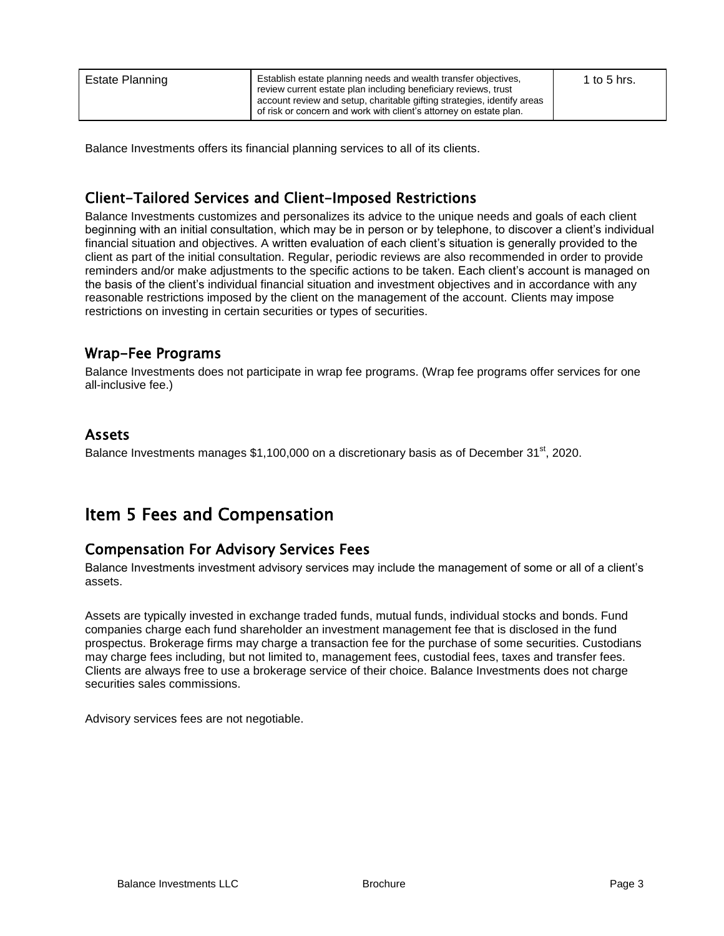| Estate Planning | Establish estate planning needs and wealth transfer objectives,<br>review current estate plan including beneficiary reviews, trust<br>account review and setup, charitable gifting strategies, identify areas<br>of risk or concern and work with client's attorney on estate plan. | 1 to 5 hrs. |
|-----------------|-------------------------------------------------------------------------------------------------------------------------------------------------------------------------------------------------------------------------------------------------------------------------------------|-------------|
|-----------------|-------------------------------------------------------------------------------------------------------------------------------------------------------------------------------------------------------------------------------------------------------------------------------------|-------------|

Balance Investments offers its financial planning services to all of its clients.

## Client-Tailored Services and Client-Imposed Restrictions

Balance Investments customizes and personalizes its advice to the unique needs and goals of each client beginning with an initial consultation, which may be in person or by telephone, to discover a client's individual financial situation and objectives. A written evaluation of each client's situation is generally provided to the client as part of the initial consultation. Regular, periodic reviews are also recommended in order to provide reminders and/or make adjustments to the specific actions to be taken. Each client's account is managed on the basis of the client's individual financial situation and investment objectives and in accordance with any reasonable restrictions imposed by the client on the management of the account. Clients may impose restrictions on investing in certain securities or types of securities.

### Wrap-Fee Programs

Balance Investments does not participate in wrap fee programs. (Wrap fee programs offer services for one all-inclusive fee.)

### Assets

Balance Investments manages  $$1,100,000$  on a discretionary basis as of December 31<sup>st</sup>, 2020.

## Item 5 Fees and Compensation

### Compensation For Advisory Services Fees

Balance Investments investment advisory services may include the management of some or all of a client's assets.

Assets are typically invested in exchange traded funds, mutual funds, individual stocks and bonds. Fund companies charge each fund shareholder an investment management fee that is disclosed in the fund prospectus. Brokerage firms may charge a transaction fee for the purchase of some securities. Custodians may charge fees including, but not limited to, management fees, custodial fees, taxes and transfer fees. Clients are always free to use a brokerage service of their choice. Balance Investments does not charge securities sales commissions.

Advisory services fees are not negotiable.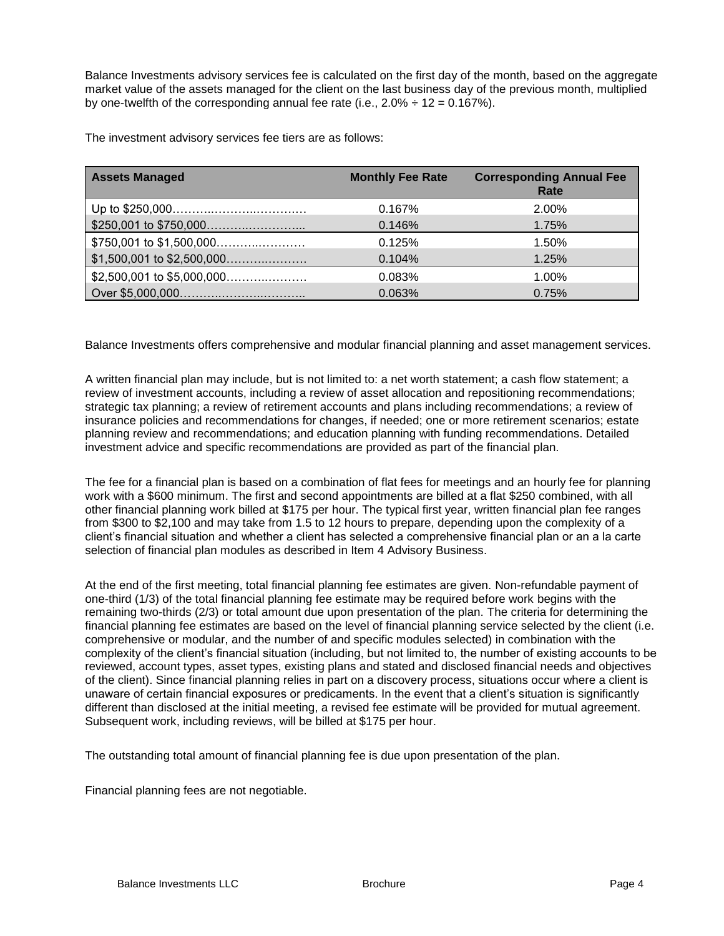Balance Investments advisory services fee is calculated on the first day of the month, based on the aggregate market value of the assets managed for the client on the last business day of the previous month, multiplied by one-twelfth of the corresponding annual fee rate (i.e.,  $2.0\% \div 12 = 0.167\%$ ).

The investment advisory services fee tiers are as follows:

| <b>Assets Managed</b>    | <b>Monthly Fee Rate</b> | <b>Corresponding Annual Fee</b><br>Rate |
|--------------------------|-------------------------|-----------------------------------------|
|                          | 0.167%                  | 2.00%                                   |
|                          | 0.146%                  | 1.75%                                   |
| \$750,001 to \$1,500,000 | 0.125%                  | 1.50%                                   |
|                          | 0.104%                  | 1.25%                                   |
|                          | 0.083%                  | $1.00\%$                                |
|                          | 0.063%                  | 0.75%                                   |

Balance Investments offers comprehensive and modular financial planning and asset management services.

A written financial plan may include, but is not limited to: a net worth statement; a cash flow statement; a review of investment accounts, including a review of asset allocation and repositioning recommendations; strategic tax planning; a review of retirement accounts and plans including recommendations; a review of insurance policies and recommendations for changes, if needed; one or more retirement scenarios; estate planning review and recommendations; and education planning with funding recommendations. Detailed investment advice and specific recommendations are provided as part of the financial plan.

The fee for a financial plan is based on a combination of flat fees for meetings and an hourly fee for planning work with a \$600 minimum. The first and second appointments are billed at a flat \$250 combined, with all other financial planning work billed at \$175 per hour. The typical first year, written financial plan fee ranges from \$300 to \$2,100 and may take from 1.5 to 12 hours to prepare, depending upon the complexity of a client's financial situation and whether a client has selected a comprehensive financial plan or an a la carte selection of financial plan modules as described in Item 4 Advisory Business.

At the end of the first meeting, total financial planning fee estimates are given. Non-refundable payment of one-third (1/3) of the total financial planning fee estimate may be required before work begins with the remaining two-thirds (2/3) or total amount due upon presentation of the plan. The criteria for determining the financial planning fee estimates are based on the level of financial planning service selected by the client (i.e. comprehensive or modular, and the number of and specific modules selected) in combination with the complexity of the client's financial situation (including, but not limited to, the number of existing accounts to be reviewed, account types, asset types, existing plans and stated and disclosed financial needs and objectives of the client). Since financial planning relies in part on a discovery process, situations occur where a client is unaware of certain financial exposures or predicaments. In the event that a client's situation is significantly different than disclosed at the initial meeting, a revised fee estimate will be provided for mutual agreement. Subsequent work, including reviews, will be billed at \$175 per hour.

The outstanding total amount of financial planning fee is due upon presentation of the plan.

Financial planning fees are not negotiable.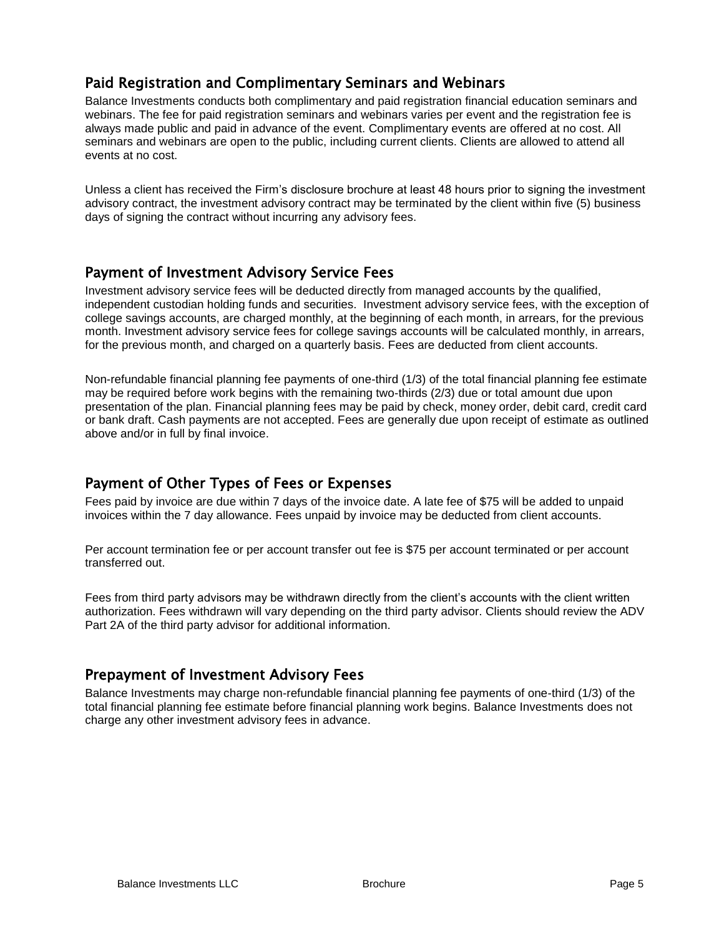### Paid Registration and Complimentary Seminars and Webinars

Balance Investments conducts both complimentary and paid registration financial education seminars and webinars. The fee for paid registration seminars and webinars varies per event and the registration fee is always made public and paid in advance of the event. Complimentary events are offered at no cost. All seminars and webinars are open to the public, including current clients. Clients are allowed to attend all events at no cost.

Unless a client has received the Firm's disclosure brochure at least 48 hours prior to signing the investment advisory contract, the investment advisory contract may be terminated by the client within five (5) business days of signing the contract without incurring any advisory fees.

### Payment of Investment Advisory Service Fees

Investment advisory service fees will be deducted directly from managed accounts by the qualified, independent custodian holding funds and securities. Investment advisory service fees, with the exception of college savings accounts, are charged monthly, at the beginning of each month, in arrears, for the previous month. Investment advisory service fees for college savings accounts will be calculated monthly, in arrears, for the previous month, and charged on a quarterly basis. Fees are deducted from client accounts.

Non-refundable financial planning fee payments of one-third (1/3) of the total financial planning fee estimate may be required before work begins with the remaining two-thirds (2/3) due or total amount due upon presentation of the plan. Financial planning fees may be paid by check, money order, debit card, credit card or bank draft. Cash payments are not accepted. Fees are generally due upon receipt of estimate as outlined above and/or in full by final invoice.

### Payment of Other Types of Fees or Expenses

Fees paid by invoice are due within 7 days of the invoice date. A late fee of \$75 will be added to unpaid invoices within the 7 day allowance. Fees unpaid by invoice may be deducted from client accounts.

Per account termination fee or per account transfer out fee is \$75 per account terminated or per account transferred out.

Fees from third party advisors may be withdrawn directly from the client's accounts with the client written authorization. Fees withdrawn will vary depending on the third party advisor. Clients should review the ADV Part 2A of the third party advisor for additional information.

### Prepayment of Investment Advisory Fees

Balance Investments may charge non-refundable financial planning fee payments of one-third (1/3) of the total financial planning fee estimate before financial planning work begins. Balance Investments does not charge any other investment advisory fees in advance.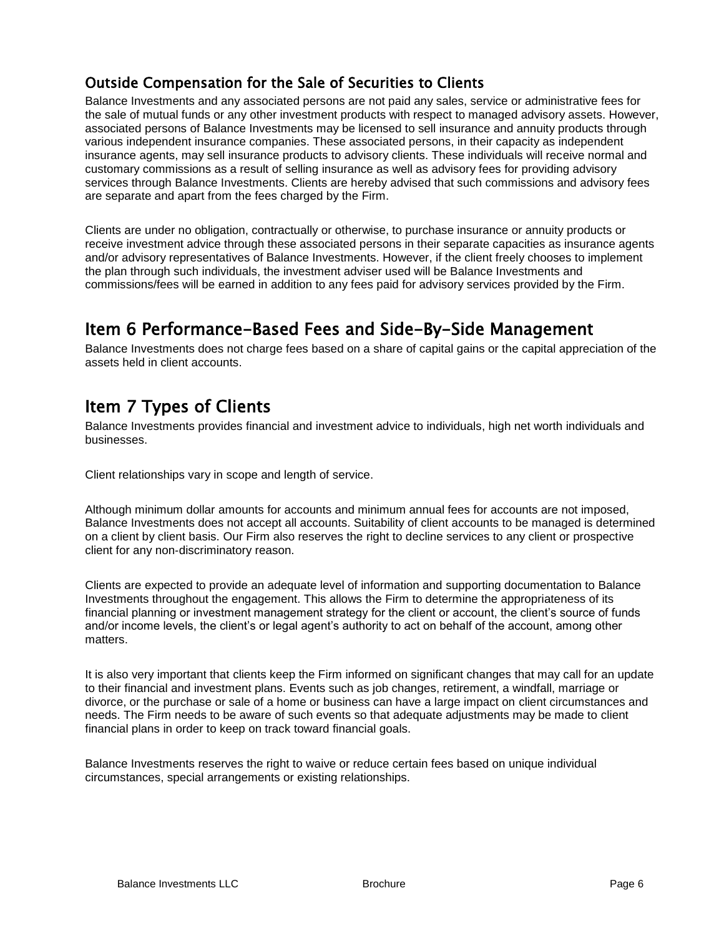## Outside Compensation for the Sale of Securities to Clients

Balance Investments and any associated persons are not paid any sales, service or administrative fees for the sale of mutual funds or any other investment products with respect to managed advisory assets. However, associated persons of Balance Investments may be licensed to sell insurance and annuity products through various independent insurance companies. These associated persons, in their capacity as independent insurance agents, may sell insurance products to advisory clients. These individuals will receive normal and customary commissions as a result of selling insurance as well as advisory fees for providing advisory services through Balance Investments. Clients are hereby advised that such commissions and advisory fees are separate and apart from the fees charged by the Firm.

Clients are under no obligation, contractually or otherwise, to purchase insurance or annuity products or receive investment advice through these associated persons in their separate capacities as insurance agents and/or advisory representatives of Balance Investments. However, if the client freely chooses to implement the plan through such individuals, the investment adviser used will be Balance Investments and commissions/fees will be earned in addition to any fees paid for advisory services provided by the Firm.

## Item 6 Performance-Based Fees and Side-By-Side Management

Balance Investments does not charge fees based on a share of capital gains or the capital appreciation of the assets held in client accounts.

# Item 7 Types of Clients

Balance Investments provides financial and investment advice to individuals, high net worth individuals and businesses.

Client relationships vary in scope and length of service.

Although minimum dollar amounts for accounts and minimum annual fees for accounts are not imposed, Balance Investments does not accept all accounts. Suitability of client accounts to be managed is determined on a client by client basis. Our Firm also reserves the right to decline services to any client or prospective client for any non‐discriminatory reason.

Clients are expected to provide an adequate level of information and supporting documentation to Balance Investments throughout the engagement. This allows the Firm to determine the appropriateness of its financial planning or investment management strategy for the client or account, the client's source of funds and/or income levels, the client's or legal agent's authority to act on behalf of the account, among other matters.

It is also very important that clients keep the Firm informed on significant changes that may call for an update to their financial and investment plans. Events such as job changes, retirement, a windfall, marriage or divorce, or the purchase or sale of a home or business can have a large impact on client circumstances and needs. The Firm needs to be aware of such events so that adequate adjustments may be made to client financial plans in order to keep on track toward financial goals.

Balance Investments reserves the right to waive or reduce certain fees based on unique individual circumstances, special arrangements or existing relationships.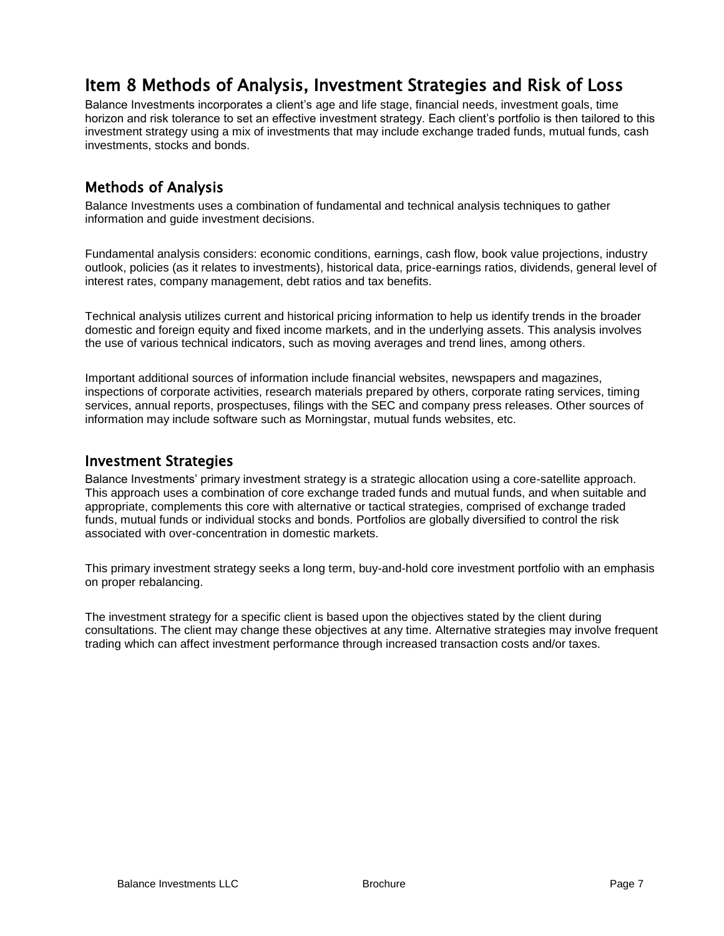# Item 8 Methods of Analysis, Investment Strategies and Risk of Loss

Balance Investments incorporates a client's age and life stage, financial needs, investment goals, time horizon and risk tolerance to set an effective investment strategy. Each client's portfolio is then tailored to this investment strategy using a mix of investments that may include exchange traded funds, mutual funds, cash investments, stocks and bonds.

### Methods of Analysis

Balance Investments uses a combination of fundamental and technical analysis techniques to gather information and guide investment decisions.

Fundamental analysis considers: economic conditions, earnings, cash flow, book value projections, industry outlook, policies (as it relates to investments), historical data, price-earnings ratios, dividends, general level of interest rates, company management, debt ratios and tax benefits.

Technical analysis utilizes current and historical pricing information to help us identify trends in the broader domestic and foreign equity and fixed income markets, and in the underlying assets. This analysis involves the use of various technical indicators, such as moving averages and trend lines, among others.

Important additional sources of information include financial websites, newspapers and magazines, inspections of corporate activities, research materials prepared by others, corporate rating services, timing services, annual reports, prospectuses, filings with the SEC and company press releases. Other sources of information may include software such as Morningstar, mutual funds websites, etc.

#### Investment Strategies

Balance Investments' primary investment strategy is a strategic allocation using a core-satellite approach. This approach uses a combination of core exchange traded funds and mutual funds, and when suitable and appropriate, complements this core with alternative or tactical strategies, comprised of exchange traded funds, mutual funds or individual stocks and bonds. Portfolios are globally diversified to control the risk associated with over-concentration in domestic markets.

This primary investment strategy seeks a long term, buy-and-hold core investment portfolio with an emphasis on proper rebalancing.

The investment strategy for a specific client is based upon the objectives stated by the client during consultations. The client may change these objectives at any time. Alternative strategies may involve frequent trading which can affect investment performance through increased transaction costs and/or taxes.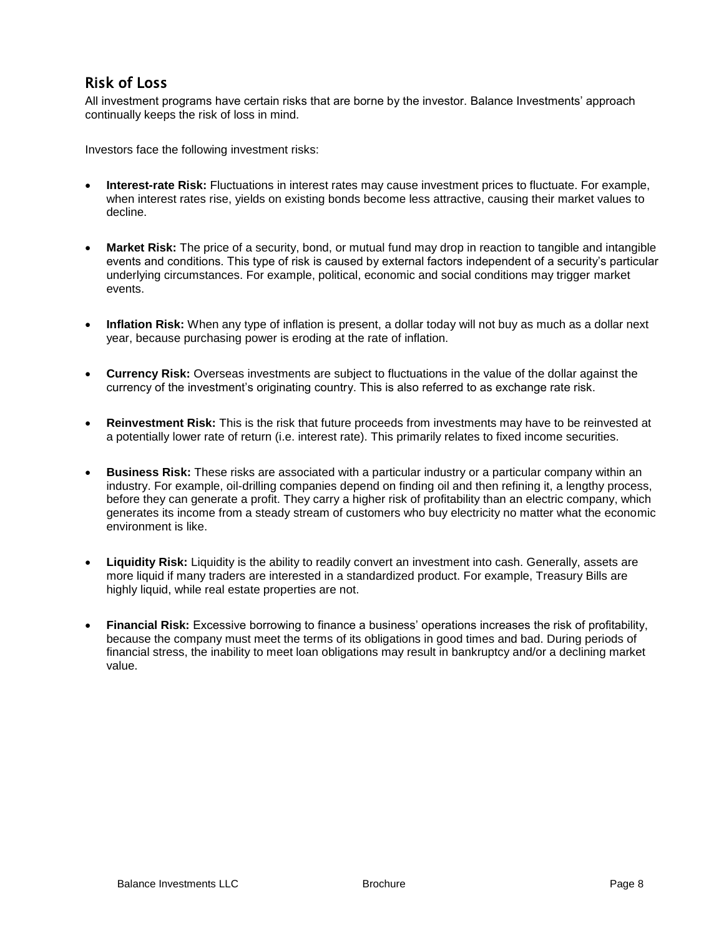## Risk of Loss

All investment programs have certain risks that are borne by the investor. Balance Investments' approach continually keeps the risk of loss in mind.

Investors face the following investment risks:

- **Interest-rate Risk:** Fluctuations in interest rates may cause investment prices to fluctuate. For example, when interest rates rise, yields on existing bonds become less attractive, causing their market values to decline.
- **Market Risk:** The price of a security, bond, or mutual fund may drop in reaction to tangible and intangible events and conditions. This type of risk is caused by external factors independent of a security's particular underlying circumstances. For example, political, economic and social conditions may trigger market events.
- **Inflation Risk:** When any type of inflation is present, a dollar today will not buy as much as a dollar next year, because purchasing power is eroding at the rate of inflation.
- **Currency Risk:** Overseas investments are subject to fluctuations in the value of the dollar against the currency of the investment's originating country. This is also referred to as exchange rate risk.
- **Reinvestment Risk:** This is the risk that future proceeds from investments may have to be reinvested at a potentially lower rate of return (i.e. interest rate). This primarily relates to fixed income securities.
- **Business Risk:** These risks are associated with a particular industry or a particular company within an industry. For example, oil-drilling companies depend on finding oil and then refining it, a lengthy process, before they can generate a profit. They carry a higher risk of profitability than an electric company, which generates its income from a steady stream of customers who buy electricity no matter what the economic environment is like.
- **Liquidity Risk:** Liquidity is the ability to readily convert an investment into cash. Generally, assets are more liquid if many traders are interested in a standardized product. For example, Treasury Bills are highly liquid, while real estate properties are not.
- **Financial Risk:** Excessive borrowing to finance a business' operations increases the risk of profitability, because the company must meet the terms of its obligations in good times and bad. During periods of financial stress, the inability to meet loan obligations may result in bankruptcy and/or a declining market value.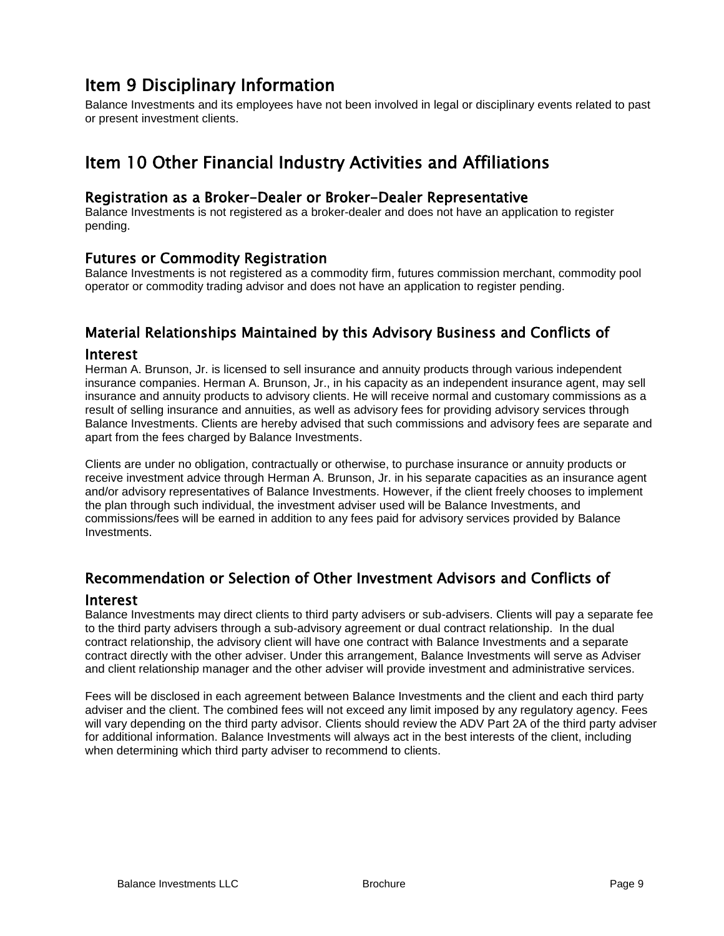## Item 9 Disciplinary Information

Balance Investments and its employees have not been involved in legal or disciplinary events related to past or present investment clients.

## Item 10 Other Financial Industry Activities and Affiliations

#### Registration as a Broker-Dealer or Broker-Dealer Representative

Balance Investments is not registered as a broker-dealer and does not have an application to register pending.

#### Futures or Commodity Registration

Balance Investments is not registered as a commodity firm, futures commission merchant, commodity pool operator or commodity trading advisor and does not have an application to register pending.

### Material Relationships Maintained by this Advisory Business and Conflicts of

#### Interest

Herman A. Brunson, Jr. is licensed to sell insurance and annuity products through various independent insurance companies. Herman A. Brunson, Jr., in his capacity as an independent insurance agent, may sell insurance and annuity products to advisory clients. He will receive normal and customary commissions as a result of selling insurance and annuities, as well as advisory fees for providing advisory services through Balance Investments. Clients are hereby advised that such commissions and advisory fees are separate and apart from the fees charged by Balance Investments.

Clients are under no obligation, contractually or otherwise, to purchase insurance or annuity products or receive investment advice through Herman A. Brunson, Jr. in his separate capacities as an insurance agent and/or advisory representatives of Balance Investments. However, if the client freely chooses to implement the plan through such individual, the investment adviser used will be Balance Investments, and commissions/fees will be earned in addition to any fees paid for advisory services provided by Balance Investments.

### Recommendation or Selection of Other Investment Advisors and Conflicts of

#### Interest

Balance Investments may direct clients to third party advisers or sub-advisers. Clients will pay a separate fee to the third party advisers through a sub-advisory agreement or dual contract relationship. In the dual contract relationship, the advisory client will have one contract with Balance Investments and a separate contract directly with the other adviser. Under this arrangement, Balance Investments will serve as Adviser and client relationship manager and the other adviser will provide investment and administrative services.

Fees will be disclosed in each agreement between Balance Investments and the client and each third party adviser and the client. The combined fees will not exceed any limit imposed by any regulatory agency. Fees will vary depending on the third party advisor. Clients should review the ADV Part 2A of the third party adviser for additional information. Balance Investments will always act in the best interests of the client, including when determining which third party adviser to recommend to clients.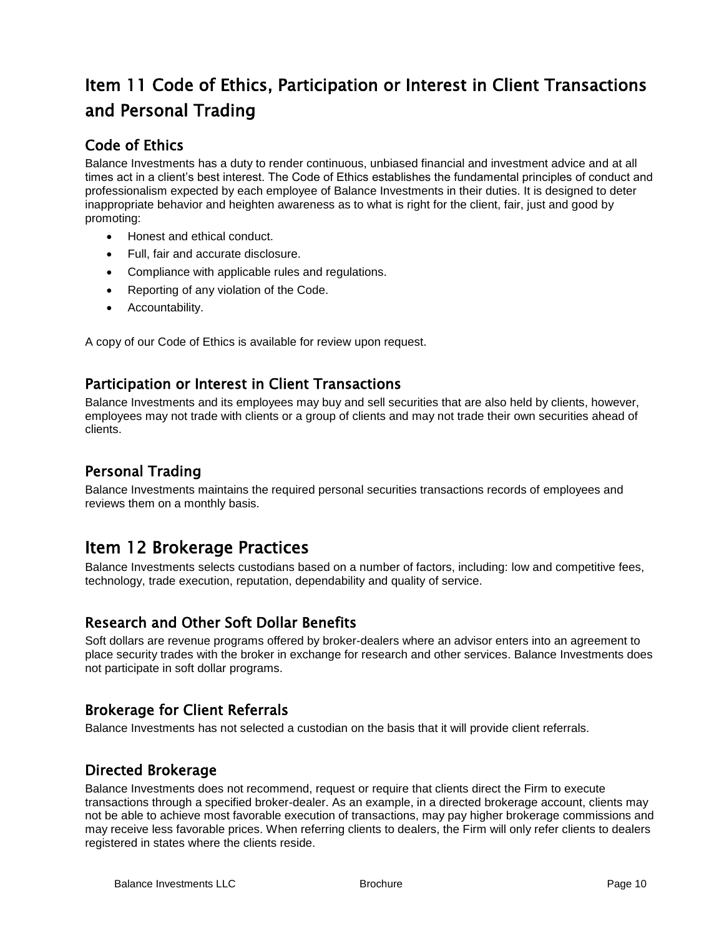# Item 11 Code of Ethics, Participation or Interest in Client Transactions and Personal Trading

## Code of Ethics

Balance Investments has a duty to render continuous, unbiased financial and investment advice and at all times act in a client's best interest. The Code of Ethics establishes the fundamental principles of conduct and professionalism expected by each employee of Balance Investments in their duties. It is designed to deter inappropriate behavior and heighten awareness as to what is right for the client, fair, just and good by promoting:

- Honest and ethical conduct.
- Full, fair and accurate disclosure.
- Compliance with applicable rules and regulations.
- Reporting of any violation of the Code.
- Accountability.

A copy of our Code of Ethics is available for review upon request.

### Participation or Interest in Client Transactions

Balance Investments and its employees may buy and sell securities that are also held by clients, however, employees may not trade with clients or a group of clients and may not trade their own securities ahead of clients.

### Personal Trading

Balance Investments maintains the required personal securities transactions records of employees and reviews them on a monthly basis.

## Item 12 Brokerage Practices

Balance Investments selects custodians based on a number of factors, including: low and competitive fees, technology, trade execution, reputation, dependability and quality of service.

### Research and Other Soft Dollar Benefits

Soft dollars are revenue programs offered by broker-dealers where an advisor enters into an agreement to place security trades with the broker in exchange for research and other services. Balance Investments does not participate in soft dollar programs.

### Brokerage for Client Referrals

Balance Investments has not selected a custodian on the basis that it will provide client referrals.

### Directed Brokerage

Balance Investments does not recommend, request or require that clients direct the Firm to execute transactions through a specified broker-dealer. As an example, in a directed brokerage account, clients may not be able to achieve most favorable execution of transactions, may pay higher brokerage commissions and may receive less favorable prices. When referring clients to dealers, the Firm will only refer clients to dealers registered in states where the clients reside.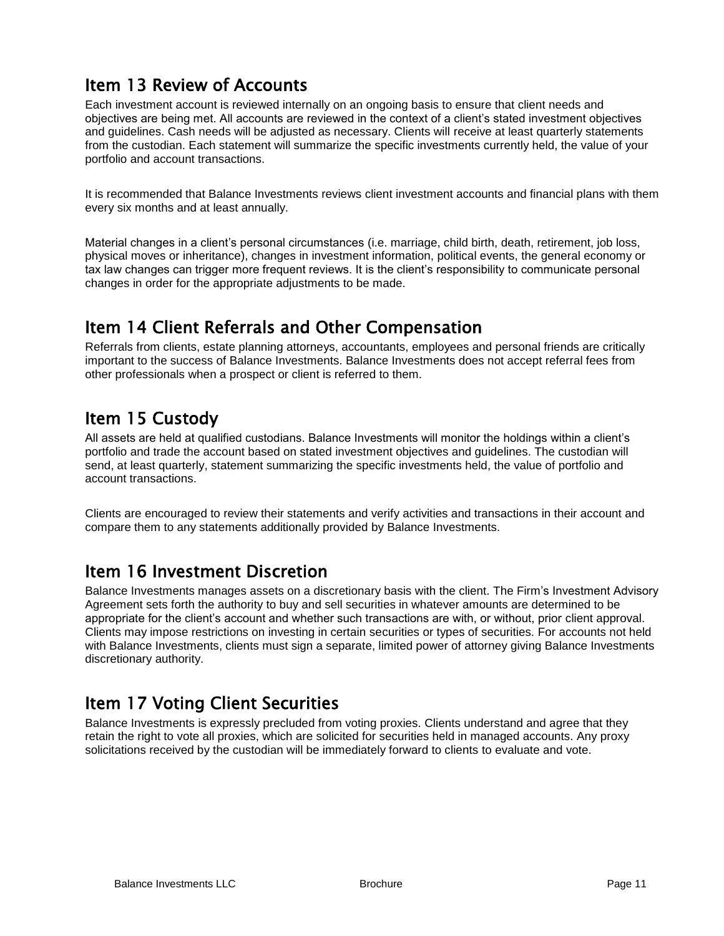# Item 13 Review of Accounts

Each investment account is reviewed internally on an ongoing basis to ensure that client needs and objectives are being met. All accounts are reviewed in the context of a client's stated investment objectives and guidelines. Cash needs will be adjusted as necessary. Clients will receive at least quarterly statements from the custodian. Each statement will summarize the specific investments currently held, the value of your portfolio and account transactions.

It is recommended that Balance Investments reviews client investment accounts and financial plans with them every six months and at least annually.

Material changes in a client's personal circumstances (i.e. marriage, child birth, death, retirement, job loss, physical moves or inheritance), changes in investment information, political events, the general economy or tax law changes can trigger more frequent reviews. It is the client's responsibility to communicate personal changes in order for the appropriate adjustments to be made.

## Item 14 Client Referrals and Other Compensation

Referrals from clients, estate planning attorneys, accountants, employees and personal friends are critically important to the success of Balance Investments. Balance Investments does not accept referral fees from other professionals when a prospect or client is referred to them.

# Item 15 Custody

All assets are held at qualified custodians. Balance Investments will monitor the holdings within a client's portfolio and trade the account based on stated investment objectives and guidelines. The custodian will send, at least quarterly, statement summarizing the specific investments held, the value of portfolio and account transactions.

Clients are encouraged to review their statements and verify activities and transactions in their account and compare them to any statements additionally provided by Balance Investments.

# Item 16 Investment Discretion

Balance Investments manages assets on a discretionary basis with the client. The Firm's Investment Advisory Agreement sets forth the authority to buy and sell securities in whatever amounts are determined to be appropriate for the client's account and whether such transactions are with, or without, prior client approval. Clients may impose restrictions on investing in certain securities or types of securities. For accounts not held with Balance Investments, clients must sign a separate, limited power of attorney giving Balance Investments discretionary authority.

# Item 17 Voting Client Securities

Balance Investments is expressly precluded from voting proxies. Clients understand and agree that they retain the right to vote all proxies, which are solicited for securities held in managed accounts. Any proxy solicitations received by the custodian will be immediately forward to clients to evaluate and vote.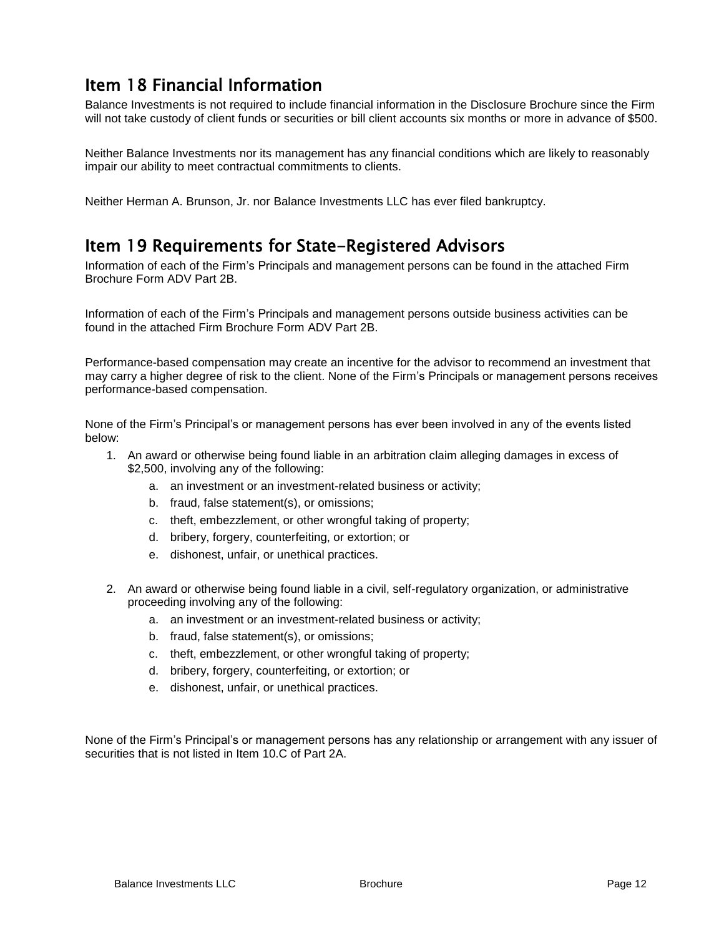# Item 18 Financial Information

Balance Investments is not required to include financial information in the Disclosure Brochure since the Firm will not take custody of client funds or securities or bill client accounts six months or more in advance of \$500.

Neither Balance Investments nor its management has any financial conditions which are likely to reasonably impair our ability to meet contractual commitments to clients.

Neither Herman A. Brunson, Jr. nor Balance Investments LLC has ever filed bankruptcy.

## Item 19 Requirements for State-Registered Advisors

Information of each of the Firm's Principals and management persons can be found in the attached Firm Brochure Form ADV Part 2B.

Information of each of the Firm's Principals and management persons outside business activities can be found in the attached Firm Brochure Form ADV Part 2B.

Performance-based compensation may create an incentive for the advisor to recommend an investment that may carry a higher degree of risk to the client. None of the Firm's Principals or management persons receives performance-based compensation.

None of the Firm's Principal's or management persons has ever been involved in any of the events listed below:

- 1. An award or otherwise being found liable in an arbitration claim alleging damages in excess of \$2,500, involving any of the following:
	- a. an investment or an investment-related business or activity;
	- b. fraud, false statement(s), or omissions;
	- c. theft, embezzlement, or other wrongful taking of property;
	- d. bribery, forgery, counterfeiting, or extortion; or
	- e. dishonest, unfair, or unethical practices.
- 2. An award or otherwise being found liable in a civil, self-regulatory organization, or administrative proceeding involving any of the following:
	- a. an investment or an investment-related business or activity;
	- b. fraud, false statement(s), or omissions;
	- c. theft, embezzlement, or other wrongful taking of property;
	- d. bribery, forgery, counterfeiting, or extortion; or
	- e. dishonest, unfair, or unethical practices.

None of the Firm's Principal's or management persons has any relationship or arrangement with any issuer of securities that is not listed in Item 10.C of Part 2A.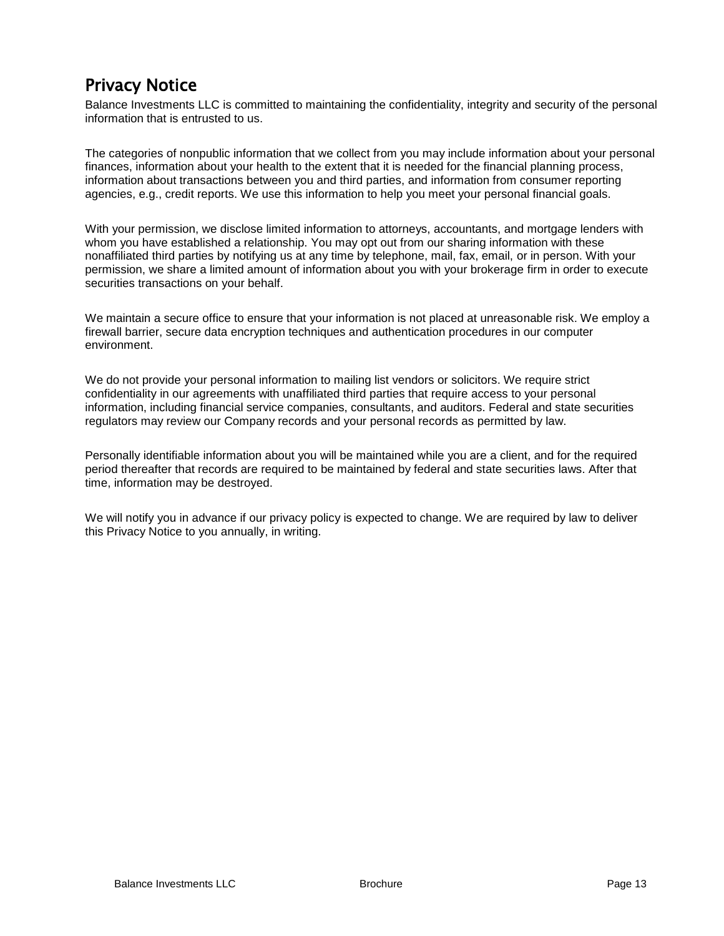# Privacy Notice

Balance Investments LLC is committed to maintaining the confidentiality, integrity and security of the personal information that is entrusted to us.

The categories of nonpublic information that we collect from you may include information about your personal finances, information about your health to the extent that it is needed for the financial planning process, information about transactions between you and third parties, and information from consumer reporting agencies, e.g., credit reports. We use this information to help you meet your personal financial goals.

With your permission, we disclose limited information to attorneys, accountants, and mortgage lenders with whom you have established a relationship. You may opt out from our sharing information with these nonaffiliated third parties by notifying us at any time by telephone, mail, fax, email, or in person. With your permission, we share a limited amount of information about you with your brokerage firm in order to execute securities transactions on your behalf.

We maintain a secure office to ensure that your information is not placed at unreasonable risk. We employ a firewall barrier, secure data encryption techniques and authentication procedures in our computer environment.

We do not provide your personal information to mailing list vendors or solicitors. We require strict confidentiality in our agreements with unaffiliated third parties that require access to your personal information, including financial service companies, consultants, and auditors. Federal and state securities regulators may review our Company records and your personal records as permitted by law.

Personally identifiable information about you will be maintained while you are a client, and for the required period thereafter that records are required to be maintained by federal and state securities laws. After that time, information may be destroyed.

We will notify you in advance if our privacy policy is expected to change. We are required by law to deliver this Privacy Notice to you annually, in writing.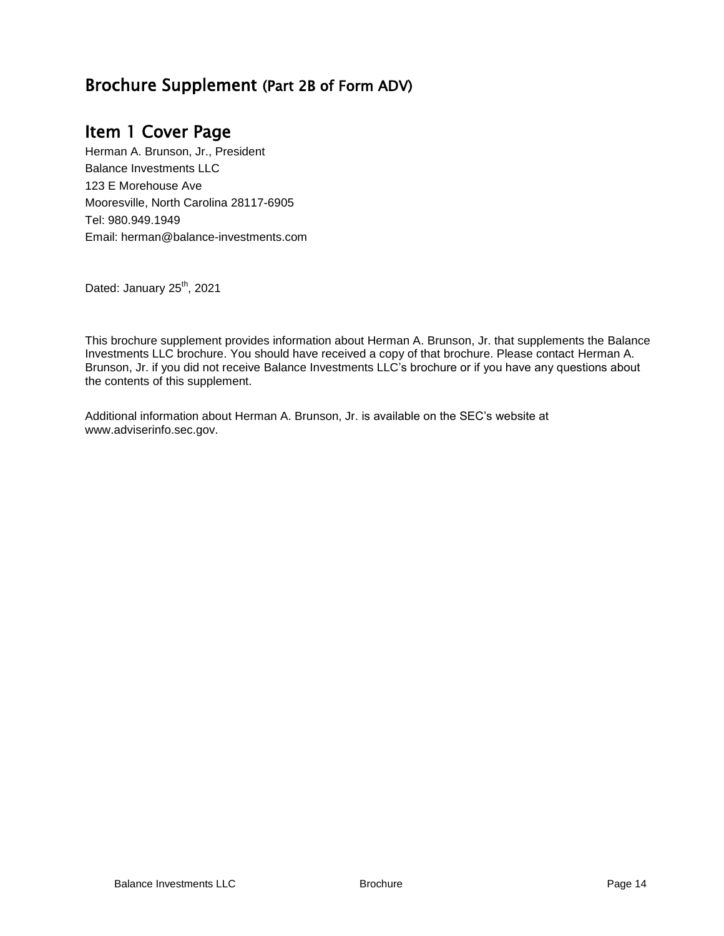## Brochure Supplement (Part 2B of Form ADV)

## Item 1 Cover Page

Herman A. Brunson, Jr., President Balance Investments LLC 123 E Morehouse Ave Mooresville, North Carolina 28117-6905 Tel: 980.949.1949 Email: herman@balance-investments.com

Dated: January 25<sup>th</sup>, 2021

This brochure supplement provides information about Herman A. Brunson, Jr. that supplements the Balance Investments LLC brochure. You should have received a copy of that brochure. Please contact Herman A. Brunson, Jr. if you did not receive Balance Investments LLC's brochure or if you have any questions about the contents of this supplement.

Additional information about Herman A. Brunson, Jr. is available on the SEC's website at www.adviserinfo.sec.gov.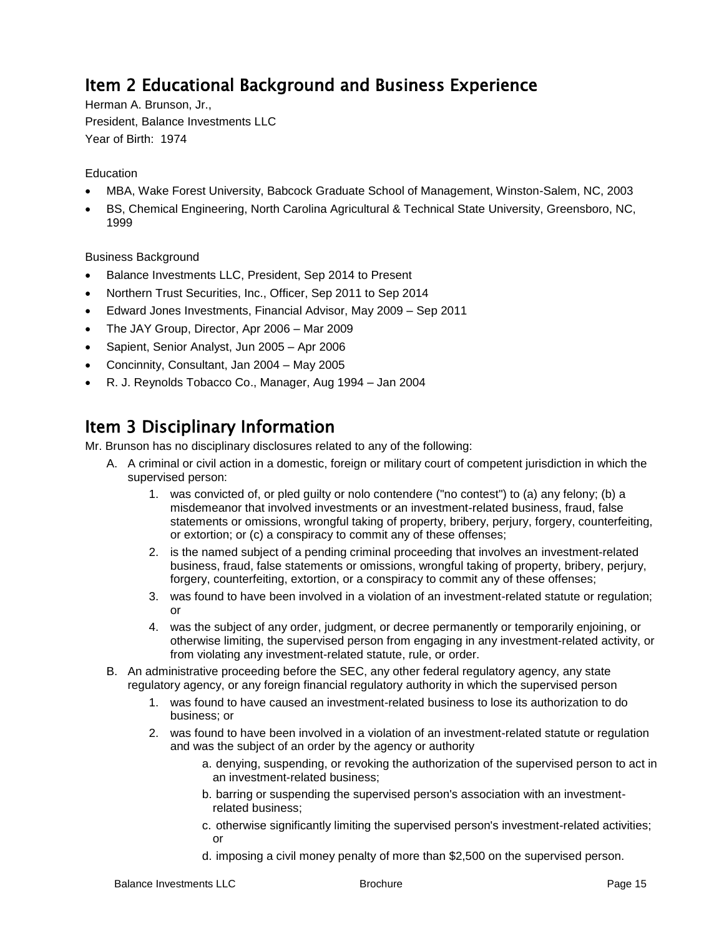# Item 2 Educational Background and Business Experience

Herman A. Brunson, Jr., President, Balance Investments LLC Year of Birth: 1974

#### **Education**

- MBA, Wake Forest University, Babcock Graduate School of Management, Winston-Salem, NC, 2003
- BS, Chemical Engineering, North Carolina Agricultural & Technical State University, Greensboro, NC, 1999

#### Business Background

- Balance Investments LLC, President, Sep 2014 to Present
- Northern Trust Securities, Inc., Officer, Sep 2011 to Sep 2014
- Edward Jones Investments, Financial Advisor, May 2009 Sep 2011
- The JAY Group, Director, Apr 2006 Mar 2009
- Sapient, Senior Analyst, Jun 2005 Apr 2006
- Concinnity, Consultant, Jan 2004 May 2005
- R. J. Reynolds Tobacco Co., Manager, Aug 1994 Jan 2004

## Item 3 Disciplinary Information

Mr. Brunson has no disciplinary disclosures related to any of the following:

- A. A criminal or civil action in a domestic, foreign or military court of competent jurisdiction in which the supervised person:
	- 1. was convicted of, or pled guilty or nolo contendere ("no contest") to (a) any felony; (b) a misdemeanor that involved investments or an investment-related business, fraud, false statements or omissions, wrongful taking of property, bribery, perjury, forgery, counterfeiting, or extortion; or (c) a conspiracy to commit any of these offenses;
	- 2. is the named subject of a pending criminal proceeding that involves an investment-related business, fraud, false statements or omissions, wrongful taking of property, bribery, perjury, forgery, counterfeiting, extortion, or a conspiracy to commit any of these offenses;
	- 3. was found to have been involved in a violation of an investment-related statute or regulation; or
	- 4. was the subject of any order, judgment, or decree permanently or temporarily enjoining, or otherwise limiting, the supervised person from engaging in any investment-related activity, or from violating any investment-related statute, rule, or order.
- B. An administrative proceeding before the SEC, any other federal regulatory agency, any state regulatory agency, or any foreign financial regulatory authority in which the supervised person
	- 1. was found to have caused an investment-related business to lose its authorization to do business; or
	- 2. was found to have been involved in a violation of an investment-related statute or regulation and was the subject of an order by the agency or authority
		- a. denying, suspending, or revoking the authorization of the supervised person to act in an investment-related business;
		- b. barring or suspending the supervised person's association with an investmentrelated business;
		- c. otherwise significantly limiting the supervised person's investment-related activities; or
		- d. imposing a civil money penalty of more than \$2,500 on the supervised person.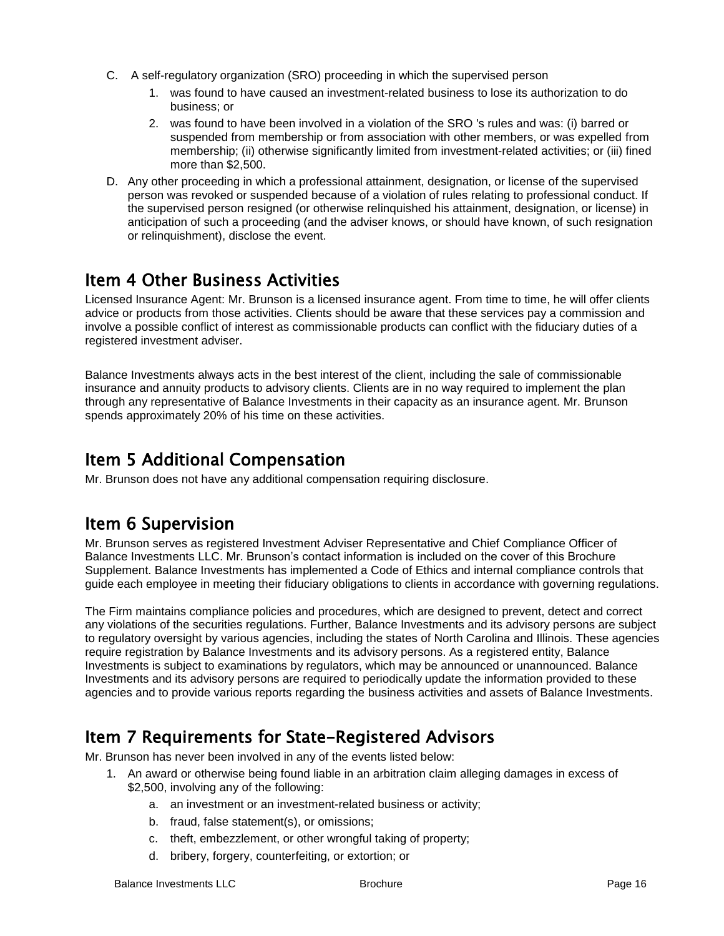- C. A self-regulatory organization (SRO) proceeding in which the supervised person
	- 1. was found to have caused an investment-related business to lose its authorization to do business; or
	- 2. was found to have been involved in a violation of the SRO 's rules and was: (i) barred or suspended from membership or from association with other members, or was expelled from membership; (ii) otherwise significantly limited from investment-related activities; or (iii) fined more than \$2,500.
- D. Any other proceeding in which a professional attainment, designation, or license of the supervised person was revoked or suspended because of a violation of rules relating to professional conduct. If the supervised person resigned (or otherwise relinquished his attainment, designation, or license) in anticipation of such a proceeding (and the adviser knows, or should have known, of such resignation or relinquishment), disclose the event.

# Item 4 Other Business Activities

Licensed Insurance Agent: Mr. Brunson is a licensed insurance agent. From time to time, he will offer clients advice or products from those activities. Clients should be aware that these services pay a commission and involve a possible conflict of interest as commissionable products can conflict with the fiduciary duties of a registered investment adviser.

Balance Investments always acts in the best interest of the client, including the sale of commissionable insurance and annuity products to advisory clients. Clients are in no way required to implement the plan through any representative of Balance Investments in their capacity as an insurance agent. Mr. Brunson spends approximately 20% of his time on these activities.

## Item 5 Additional Compensation

Mr. Brunson does not have any additional compensation requiring disclosure.

# Item 6 Supervision

Mr. Brunson serves as registered Investment Adviser Representative and Chief Compliance Officer of Balance Investments LLC. Mr. Brunson's contact information is included on the cover of this Brochure Supplement. Balance Investments has implemented a Code of Ethics and internal compliance controls that guide each employee in meeting their fiduciary obligations to clients in accordance with governing regulations.

The Firm maintains compliance policies and procedures, which are designed to prevent, detect and correct any violations of the securities regulations. Further, Balance Investments and its advisory persons are subject to regulatory oversight by various agencies, including the states of North Carolina and Illinois. These agencies require registration by Balance Investments and its advisory persons. As a registered entity, Balance Investments is subject to examinations by regulators, which may be announced or unannounced. Balance Investments and its advisory persons are required to periodically update the information provided to these agencies and to provide various reports regarding the business activities and assets of Balance Investments.

## Item 7 Requirements for State-Registered Advisors

Mr. Brunson has never been involved in any of the events listed below:

- 1. An award or otherwise being found liable in an arbitration claim alleging damages in excess of \$2,500, involving any of the following:
	- a. an investment or an investment-related business or activity;
	- b. fraud, false statement(s), or omissions;

d. bribery, forgery, counterfeiting, or extortion; or

c. theft, embezzlement, or other wrongful taking of property;